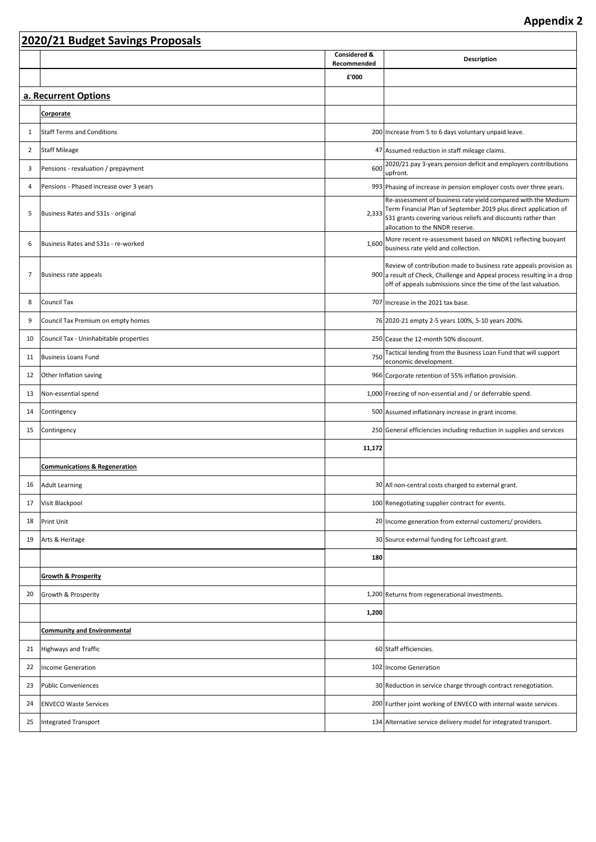٦

|                | 2020/21 Budget Savings Proposals         |                             |                                                                                                                                                                                                                                             |  |  |  |  |
|----------------|------------------------------------------|-----------------------------|---------------------------------------------------------------------------------------------------------------------------------------------------------------------------------------------------------------------------------------------|--|--|--|--|
|                |                                          | Considered &<br>Recommended | <b>Description</b>                                                                                                                                                                                                                          |  |  |  |  |
|                |                                          | £'000                       |                                                                                                                                                                                                                                             |  |  |  |  |
|                | a. Recurrent Options                     |                             |                                                                                                                                                                                                                                             |  |  |  |  |
|                | <b>Corporate</b>                         |                             |                                                                                                                                                                                                                                             |  |  |  |  |
| 1              | <b>Staff Terms and Conditions</b>        |                             | 200 Increase from 5 to 6 days voluntary unpaid leave.                                                                                                                                                                                       |  |  |  |  |
| $\overline{2}$ | <b>Staff Mileage</b>                     |                             | 47 Assumed reduction in staff mileage claims.                                                                                                                                                                                               |  |  |  |  |
| 3              | Pensions - revaluation / prepayment      | 600                         | 2020/21 pay 3-years pension deficit and employers contributions<br>upfront.                                                                                                                                                                 |  |  |  |  |
| 4              | Pensions - Phased increase over 3 years  |                             | 993 Phasing of increase in pension employer costs over three years.                                                                                                                                                                         |  |  |  |  |
| 5              | Business Rates and S31s - original       |                             | Re-assessment of business rate yield compared with the Medium<br>2,333 Term Financial Plan of September 2019 plus direct application of<br>S31 grants covering various reliefs and discounts rather than<br>allocation to the NNDR reserve. |  |  |  |  |
| 6              | Business Rates and S31s - re-worked      | 1,600                       | More recent re-assessment based on NNDR1 reflecting buoyant<br>business rate yield and collection.                                                                                                                                          |  |  |  |  |
| 7              | <b>Business rate appeals</b>             |                             | Review of contribution made to business rate appeals provision as<br>900 a result of Check, Challenge and Appeal process resulting in a drop<br>off of appeals submissions since the time of the last valuation.                            |  |  |  |  |
| 8              | Council Tax                              |                             | 707 Increase in the 2021 tax base.                                                                                                                                                                                                          |  |  |  |  |
| 9              | Council Tax Premium on empty homes       |                             | 76 2020-21 empty 2-5 years 100%, 5-10 years 200%.                                                                                                                                                                                           |  |  |  |  |
| 10             | Council Tax - Uninhabitable properties   |                             | 250 Cease the 12-month 50% discount.                                                                                                                                                                                                        |  |  |  |  |
| 11             | <b>Business Loans Fund</b>               |                             | 750 Tactical lending from the Business Loan Fund that will support<br>economic development.                                                                                                                                                 |  |  |  |  |
| 12             | Other Inflation saving                   |                             | 966 Corporate retention of 55% inflation provision.                                                                                                                                                                                         |  |  |  |  |
| 13             | Non-essential spend                      |                             | 1,000 Freezing of non-essential and / or deferrable spend.                                                                                                                                                                                  |  |  |  |  |
| 14             | Contingency                              |                             | 500 Assumed inflationary increase in grant income.                                                                                                                                                                                          |  |  |  |  |
| 15             | Contingency                              |                             | 250 General efficiencies including reduction in supplies and services                                                                                                                                                                       |  |  |  |  |
|                |                                          | 11,172                      |                                                                                                                                                                                                                                             |  |  |  |  |
|                | <b>Communications &amp; Regeneration</b> |                             |                                                                                                                                                                                                                                             |  |  |  |  |
| 16             | <b>Adult Learning</b>                    |                             | 30 All non-central costs charged to external grant.                                                                                                                                                                                         |  |  |  |  |
| 17             | Visit Blackpool                          |                             | 100 Renegotiating supplier contract for events.                                                                                                                                                                                             |  |  |  |  |
| 18             | Print Unit                               |                             | 20 Income generation from external customers/ providers.                                                                                                                                                                                    |  |  |  |  |
| 19             | Arts & Heritage                          |                             | 30 Source external funding for Leftcoast grant.                                                                                                                                                                                             |  |  |  |  |
|                |                                          | 180                         |                                                                                                                                                                                                                                             |  |  |  |  |
|                | <b>Growth &amp; Prosperity</b>           |                             |                                                                                                                                                                                                                                             |  |  |  |  |
| 20             | Growth & Prosperity                      |                             | 1,200 Returns from regenerational investments.                                                                                                                                                                                              |  |  |  |  |
|                |                                          | 1,200                       |                                                                                                                                                                                                                                             |  |  |  |  |
|                | <b>Community and Environmental</b>       |                             |                                                                                                                                                                                                                                             |  |  |  |  |
| 21             | <b>Highways and Traffic</b>              |                             | 60 Staff efficiencies.                                                                                                                                                                                                                      |  |  |  |  |
| 22             | Income Generation                        |                             | 102 Income Generation                                                                                                                                                                                                                       |  |  |  |  |
| 23             | <b>Public Conveniences</b>               |                             | 30 Reduction in service charge through contract renegotiation.                                                                                                                                                                              |  |  |  |  |
| 24             | <b>ENVECO Waste Services</b>             |                             | 200 Further joint working of ENVECO with internal waste services.                                                                                                                                                                           |  |  |  |  |
| 25             | Integrated Transport                     |                             | 134 Alternative service delivery model for integrated transport.                                                                                                                                                                            |  |  |  |  |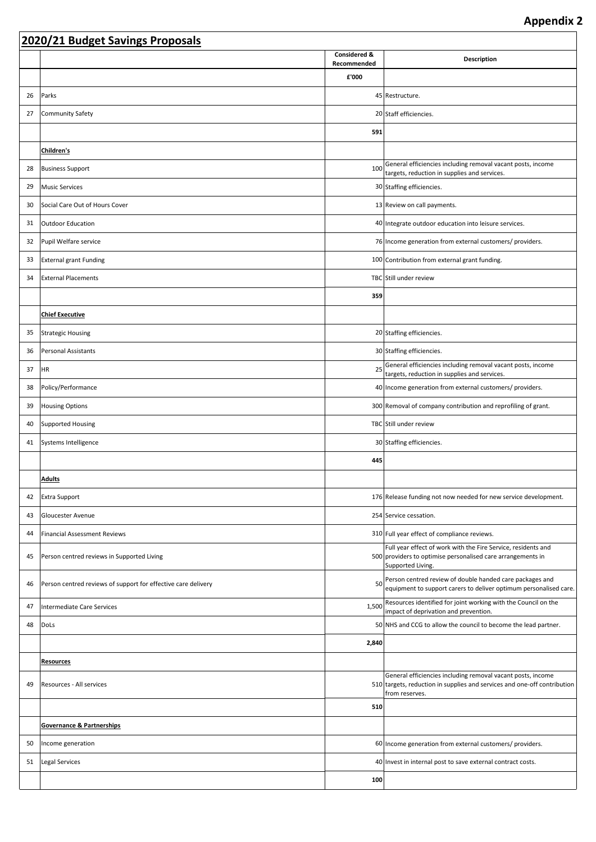|    | 2020/21 Budget Savings Proposals                              |                             |                                                                                                                                                           |  |  |  |
|----|---------------------------------------------------------------|-----------------------------|-----------------------------------------------------------------------------------------------------------------------------------------------------------|--|--|--|
|    |                                                               | Considered &<br>Recommended | <b>Description</b>                                                                                                                                        |  |  |  |
|    |                                                               | £'000                       |                                                                                                                                                           |  |  |  |
| 26 | Parks                                                         |                             | 45 Restructure.                                                                                                                                           |  |  |  |
| 27 | Community Safety                                              |                             | 20 Staff efficiencies.                                                                                                                                    |  |  |  |
|    |                                                               | 591                         |                                                                                                                                                           |  |  |  |
|    | Children's                                                    |                             |                                                                                                                                                           |  |  |  |
| 28 | <b>Business Support</b>                                       | 100                         | General efficiencies including removal vacant posts, income<br>targets, reduction in supplies and services.                                               |  |  |  |
| 29 | <b>Music Services</b>                                         |                             | 30 Staffing efficiencies.                                                                                                                                 |  |  |  |
| 30 | Social Care Out of Hours Cover                                |                             | 13 Review on call payments.                                                                                                                               |  |  |  |
| 31 | Outdoor Education                                             |                             | 40 Integrate outdoor education into leisure services.                                                                                                     |  |  |  |
| 32 | Pupil Welfare service                                         |                             | 76 Income generation from external customers/ providers.                                                                                                  |  |  |  |
| 33 | <b>External grant Funding</b>                                 |                             | 100 Contribution from external grant funding.                                                                                                             |  |  |  |
| 34 | <b>External Placements</b>                                    |                             | TBC Still under review                                                                                                                                    |  |  |  |
|    |                                                               | 359                         |                                                                                                                                                           |  |  |  |
|    | <b>Chief Executive</b>                                        |                             |                                                                                                                                                           |  |  |  |
| 35 | Strategic Housing                                             |                             | 20 Staffing efficiencies.                                                                                                                                 |  |  |  |
| 36 | <b>Personal Assistants</b>                                    |                             | 30 Staffing efficiencies.                                                                                                                                 |  |  |  |
| 37 | <b>HR</b>                                                     | 25                          | General efficiencies including removal vacant posts, income<br>targets, reduction in supplies and services.                                               |  |  |  |
| 38 | Policy/Performance                                            |                             | 40   Income generation from external customers/ providers.                                                                                                |  |  |  |
| 39 | <b>Housing Options</b>                                        |                             | 300 Removal of company contribution and reprofiling of grant.                                                                                             |  |  |  |
| 40 | <b>Supported Housing</b>                                      |                             | TBC Still under review                                                                                                                                    |  |  |  |
| 41 | Systems Intelligence                                          |                             | 30 Staffing efficiencies.                                                                                                                                 |  |  |  |
|    |                                                               | 445                         |                                                                                                                                                           |  |  |  |
|    | Adults                                                        |                             |                                                                                                                                                           |  |  |  |
| 42 | <b>Extra Support</b>                                          |                             | 176 Release funding not now needed for new service development.                                                                                           |  |  |  |
| 43 | Gloucester Avenue                                             |                             | 254 Service cessation.                                                                                                                                    |  |  |  |
| 44 | <b>Financial Assessment Reviews</b>                           |                             | 310 Full year effect of compliance reviews.                                                                                                               |  |  |  |
| 45 | Person centred reviews in Supported Living                    |                             | Full year effect of work with the Fire Service, residents and<br>500 providers to optimise personalised care arrangements in<br>Supported Living.         |  |  |  |
| 46 | Person centred reviews of support for effective care delivery | 50                          | Person centred review of double handed care packages and<br>equipment to support carers to deliver optimum personalised care.                             |  |  |  |
| 47 | <b>Intermediate Care Services</b>                             | 1,500                       | Resources identified for joint working with the Council on the<br>impact of deprivation and prevention.                                                   |  |  |  |
| 48 | DoLs                                                          |                             | 50 NHS and CCG to allow the council to become the lead partner.                                                                                           |  |  |  |
|    |                                                               | 2,840                       |                                                                                                                                                           |  |  |  |
|    | <b>Resources</b>                                              |                             |                                                                                                                                                           |  |  |  |
| 49 | Resources - All services                                      |                             | General efficiencies including removal vacant posts, income<br>510 targets, reduction in supplies and services and one-off contribution<br>from reserves. |  |  |  |
|    |                                                               | 510                         |                                                                                                                                                           |  |  |  |
|    | <b>Governance &amp; Partnerships</b>                          |                             |                                                                                                                                                           |  |  |  |
| 50 | Income generation                                             |                             | 60   Income generation from external customers/ providers.                                                                                                |  |  |  |
| 51 | Legal Services                                                |                             | 40 Invest in internal post to save external contract costs.                                                                                               |  |  |  |
|    |                                                               | 100                         |                                                                                                                                                           |  |  |  |